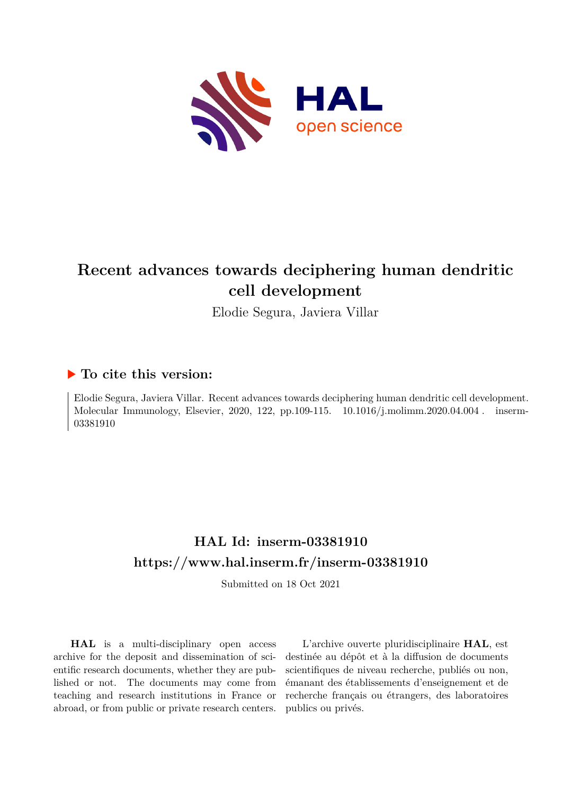

## **Recent advances towards deciphering human dendritic cell development**

Elodie Segura, Javiera Villar

### **To cite this version:**

Elodie Segura, Javiera Villar. Recent advances towards deciphering human dendritic cell development. Molecular Immunology, Elsevier, 2020, 122, pp.109-115.  $10.1016/j$ .molimm.2020.04.004. inserm-03381910ff

## **HAL Id: inserm-03381910 <https://www.hal.inserm.fr/inserm-03381910>**

Submitted on 18 Oct 2021

**HAL** is a multi-disciplinary open access archive for the deposit and dissemination of scientific research documents, whether they are published or not. The documents may come from teaching and research institutions in France or abroad, or from public or private research centers.

L'archive ouverte pluridisciplinaire **HAL**, est destinée au dépôt et à la diffusion de documents scientifiques de niveau recherche, publiés ou non, émanant des établissements d'enseignement et de recherche français ou étrangers, des laboratoires publics ou privés.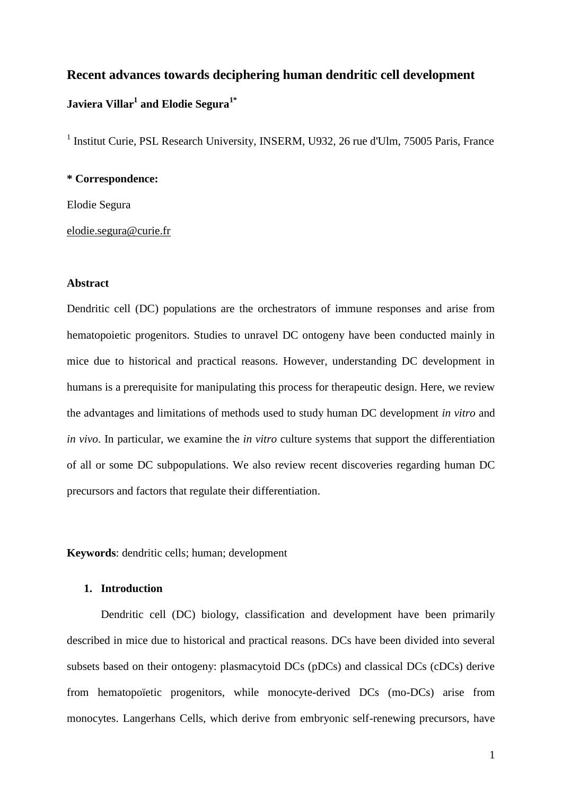# **Recent advances towards deciphering human dendritic cell development Javiera Villar<sup>1</sup> and Elodie Segura1\***

<sup>1</sup> Institut Curie, PSL Research University, INSERM, U932, 26 rue d'Ulm, 75005 Paris, France

#### **\* Correspondence:**

Elodie Segura

#### [elodie.segura@curie.fr](mailto:elodie.segura@curie.fr)

#### **Abstract**

Dendritic cell (DC) populations are the orchestrators of immune responses and arise from hematopoietic progenitors. Studies to unravel DC ontogeny have been conducted mainly in mice due to historical and practical reasons. However, understanding DC development in humans is a prerequisite for manipulating this process for therapeutic design. Here, we review the advantages and limitations of methods used to study human DC development *in vitro* and *in vivo*. In particular, we examine the *in vitro* culture systems that support the differentiation of all or some DC subpopulations. We also review recent discoveries regarding human DC precursors and factors that regulate their differentiation.

**Keywords**: dendritic cells; human; development

#### **1. Introduction**

Dendritic cell (DC) biology, classification and development have been primarily described in mice due to historical and practical reasons. DCs have been divided into several subsets based on their ontogeny: plasmacytoid DCs (pDCs) and classical DCs (cDCs) derive from hematopoïetic progenitors, while monocyte-derived DCs (mo-DCs) arise from monocytes. Langerhans Cells, which derive from embryonic self-renewing precursors, have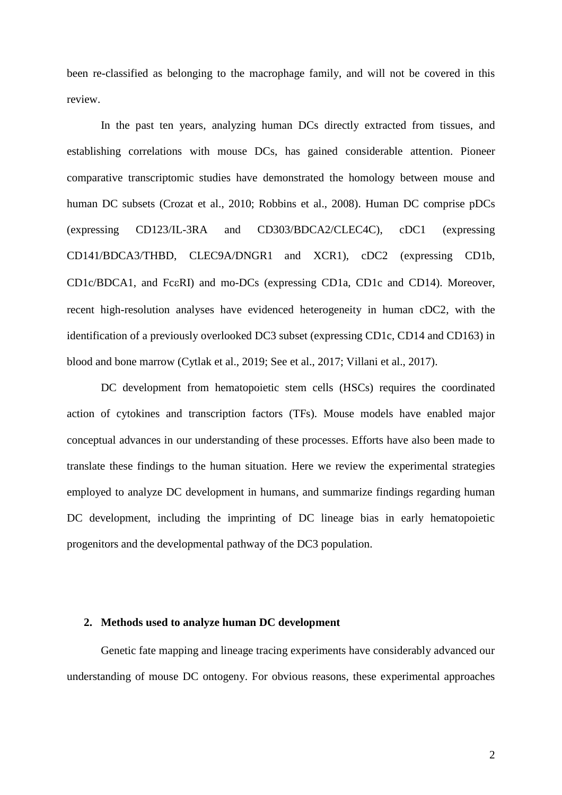been re-classified as belonging to the macrophage family, and will not be covered in this review.

In the past ten years, analyzing human DCs directly extracted from tissues, and establishing correlations with mouse DCs, has gained considerable attention. Pioneer comparative transcriptomic studies have demonstrated the homology between mouse and human DC subsets (Crozat et al., 2010; Robbins et al., 2008). Human DC comprise pDCs (expressing CD123/IL-3RA and CD303/BDCA2/CLEC4C), cDC1 (expressing CD141/BDCA3/THBD, CLEC9A/DNGR1 and XCR1), cDC2 (expressing CD1b, CD1c/BDCA1, and Fc $\varepsilon$ RI) and mo-DCs (expressing CD1a, CD1c and CD14). Moreover, recent high-resolution analyses have evidenced heterogeneity in human cDC2, with the identification of a previously overlooked DC3 subset (expressing CD1c, CD14 and CD163) in blood and bone marrow (Cytlak et al., 2019; See et al., 2017; Villani et al., 2017).

DC development from hematopoietic stem cells (HSCs) requires the coordinated action of cytokines and transcription factors (TFs). Mouse models have enabled major conceptual advances in our understanding of these processes. Efforts have also been made to translate these findings to the human situation. Here we review the experimental strategies employed to analyze DC development in humans, and summarize findings regarding human DC development, including the imprinting of DC lineage bias in early hematopoietic progenitors and the developmental pathway of the DC3 population.

#### **2. Methods used to analyze human DC development**

Genetic fate mapping and lineage tracing experiments have considerably advanced our understanding of mouse DC ontogeny. For obvious reasons, these experimental approaches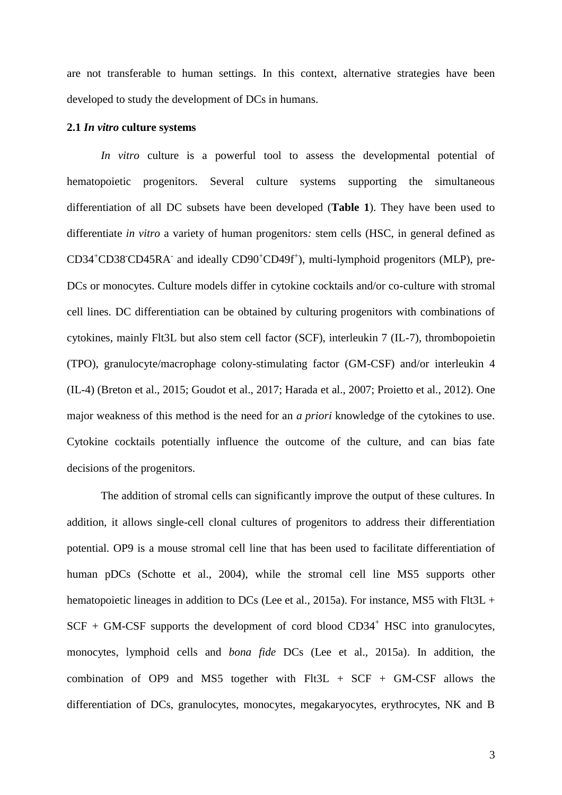are not transferable to human settings. In this context, alternative strategies have been developed to study the development of DCs in humans.

#### **2.1** *In vitro* **culture systems**

*In vitro* culture is a powerful tool to assess the developmental potential of hematopoietic progenitors. Several culture systems supporting the simultaneous differentiation of all DC subsets have been developed (**Table 1**). They have been used to differentiate *in vitro* a variety of human progenitors*:* stem cells (HSC, in general defined as CD34<sup>+</sup>CD38<sup>-</sup>CD45RA<sup>-</sup> and ideally CD90<sup>+</sup>CD49f<sup>+</sup>), multi-lymphoid progenitors (MLP), pre-DCs or monocytes. Culture models differ in cytokine cocktails and/or co-culture with stromal cell lines. DC differentiation can be obtained by culturing progenitors with combinations of cytokines, mainly Flt3L but also stem cell factor (SCF), interleukin 7 (IL-7), thrombopoietin (TPO), granulocyte/macrophage colony-stimulating factor (GM-CSF) and/or interleukin 4 (IL-4) (Breton et al., 2015; Goudot et al., 2017; Harada et al., 2007; Proietto et al., 2012). One major weakness of this method is the need for an *a priori* knowledge of the cytokines to use. Cytokine cocktails potentially influence the outcome of the culture, and can bias fate decisions of the progenitors.

The addition of stromal cells can significantly improve the output of these cultures. In addition, it allows single-cell clonal cultures of progenitors to address their differentiation potential. OP9 is a mouse stromal cell line that has been used to facilitate differentiation of human pDCs (Schotte et al., 2004), while the stromal cell line MS5 supports other hematopoietic lineages in addition to DCs (Lee et al., 2015a). For instance, MS5 with Flt3L +  $SCF + GM-CSF$  supports the development of cord blood  $CD34<sup>+</sup> HSC$  into granulocytes, monocytes, lymphoid cells and *bona fide* DCs (Lee et al., 2015a). In addition, the combination of OP9 and MS5 together with  $F1t3L + SCF + GM-CSF$  allows the differentiation of DCs, granulocytes, monocytes, megakaryocytes, erythrocytes, NK and B

3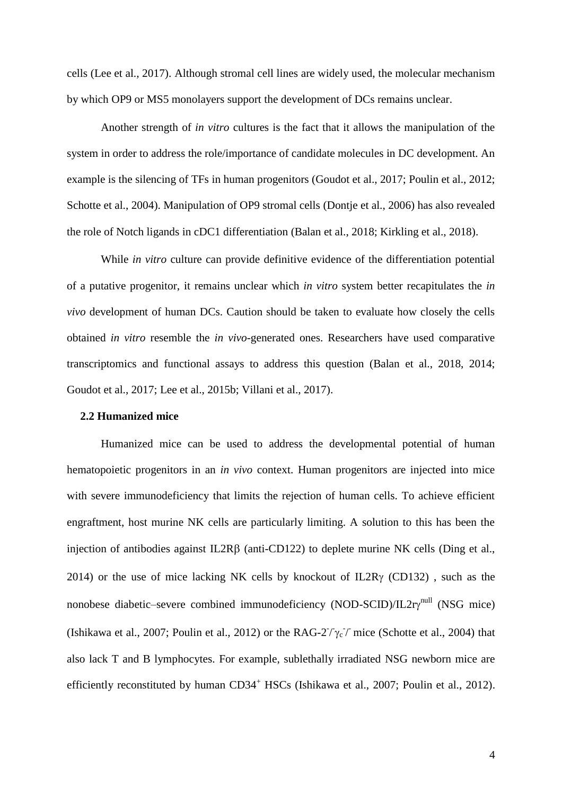cells (Lee et al., 2017). Although stromal cell lines are widely used, the molecular mechanism by which OP9 or MS5 monolayers support the development of DCs remains unclear.

Another strength of *in vitro* cultures is the fact that it allows the manipulation of the system in order to address the role/importance of candidate molecules in DC development. An example is the silencing of TFs in human progenitors (Goudot et al., 2017; Poulin et al., 2012; Schotte et al., 2004). Manipulation of OP9 stromal cells (Dontje et al., 2006) has also revealed the role of Notch ligands in cDC1 differentiation (Balan et al., 2018; Kirkling et al., 2018).

While *in vitro* culture can provide definitive evidence of the differentiation potential of a putative progenitor, it remains unclear which *in vitro* system better recapitulates the *in vivo* development of human DCs. Caution should be taken to evaluate how closely the cells obtained *in vitro* resemble the *in vivo*-generated ones. Researchers have used comparative transcriptomics and functional assays to address this question (Balan et al., 2018, 2014; Goudot et al., 2017; Lee et al., 2015b; Villani et al., 2017).

#### **2.2 Humanized mice**

Humanized mice can be used to address the developmental potential of human hematopoietic progenitors in an *in vivo* context. Human progenitors are injected into mice with severe immunodeficiency that limits the rejection of human cells. To achieve efficient engraftment, host murine NK cells are particularly limiting. A solution to this has been the injection of antibodies against  $IL2R\beta$  (anti-CD122) to deplete murine NK cells (Ding et al., 2014) or the use of mice lacking NK cells by knockout of IL2R $\gamma$  (CD132), such as the nonobese diabetic–severe combined immunodeficiency (NOD-SCID)/IL2ry<sup>null</sup> (NSG mice) (Ishikawa et al., 2007; Poulin et al., 2012) or the RAG-2<sup> $\gamma$ </sup>  $\gamma$ <sup>-</sup> mice (Schotte et al., 2004) that also lack T and B lymphocytes. For example, sublethally irradiated NSG newborn mice are efficiently reconstituted by human CD34<sup>+</sup> HSCs (Ishikawa et al., 2007; Poulin et al., 2012).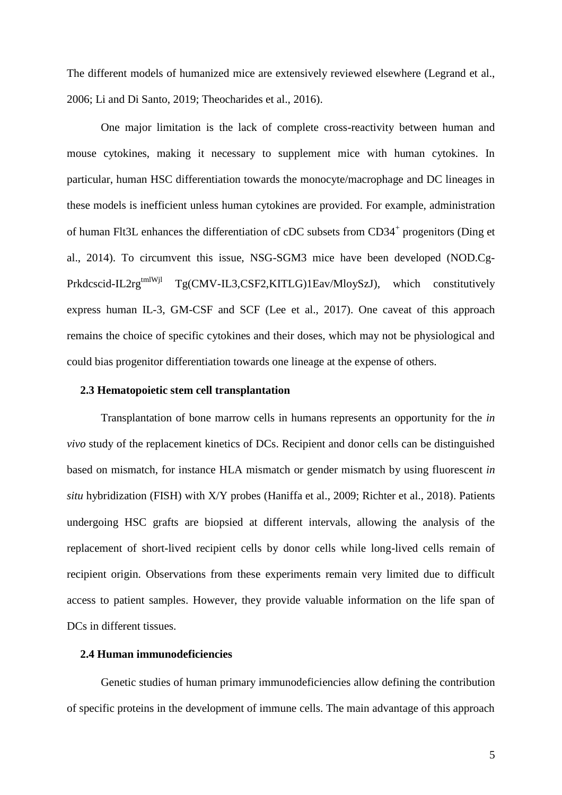The different models of humanized mice are extensively reviewed elsewhere (Legrand et al., 2006; Li and Di Santo, 2019; Theocharides et al., 2016).

One major limitation is the lack of complete cross-reactivity between human and mouse cytokines, making it necessary to supplement mice with human cytokines. In particular, human HSC differentiation towards the monocyte/macrophage and DC lineages in these models is inefficient unless human cytokines are provided. For example, administration of human Flt3L enhances the differentiation of cDC subsets from CD34<sup>+</sup> progenitors (Ding et al., 2014). To circumvent this issue, NSG-SGM3 mice have been developed (NOD.Cg-Prkdcscid-IL2rg<sup>tmlWjl</sup> Tg(CMV-IL3,CSF2,KITLG)1Eav/MloySzJ), which constitutively express human IL-3, GM-CSF and SCF (Lee et al., 2017). One caveat of this approach remains the choice of specific cytokines and their doses, which may not be physiological and could bias progenitor differentiation towards one lineage at the expense of others.

#### **2.3 Hematopoietic stem cell transplantation**

Transplantation of bone marrow cells in humans represents an opportunity for the *in vivo* study of the replacement kinetics of DCs. Recipient and donor cells can be distinguished based on mismatch, for instance HLA mismatch or gender mismatch by using fluorescent *in situ* hybridization (FISH) with X/Y probes (Haniffa et al., 2009; Richter et al., 2018). Patients undergoing HSC grafts are biopsied at different intervals, allowing the analysis of the replacement of short-lived recipient cells by donor cells while long-lived cells remain of recipient origin. Observations from these experiments remain very limited due to difficult access to patient samples. However, they provide valuable information on the life span of DCs in different tissues.

#### **2.4 Human immunodeficiencies**

Genetic studies of human primary immunodeficiencies allow defining the contribution of specific proteins in the development of immune cells. The main advantage of this approach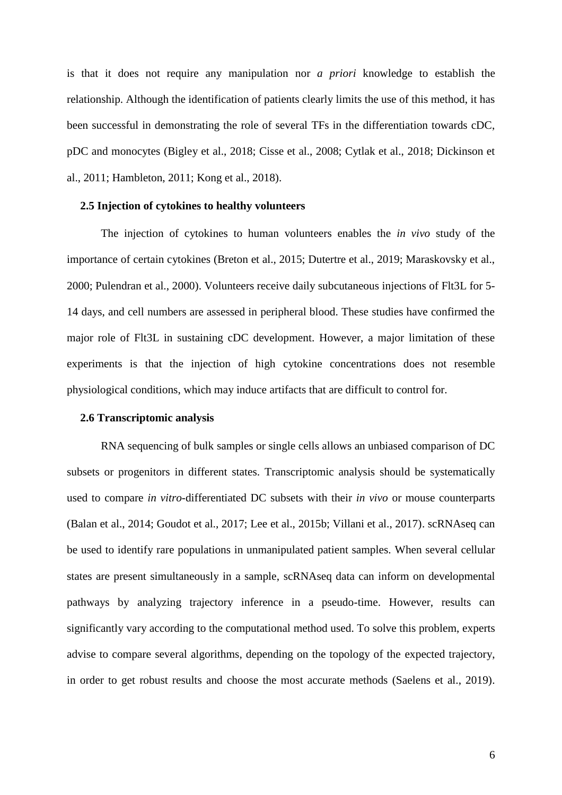is that it does not require any manipulation nor *a priori* knowledge to establish the relationship. Although the identification of patients clearly limits the use of this method, it has been successful in demonstrating the role of several TFs in the differentiation towards cDC, pDC and monocytes (Bigley et al., 2018; Cisse et al., 2008; Cytlak et al., 2018; Dickinson et al., 2011; Hambleton, 2011; Kong et al., 2018).

#### **2.5 Injection of cytokines to healthy volunteers**

The injection of cytokines to human volunteers enables the *in vivo* study of the importance of certain cytokines (Breton et al., 2015; Dutertre et al., 2019; Maraskovsky et al., 2000; Pulendran et al., 2000). Volunteers receive daily subcutaneous injections of Flt3L for 5- 14 days, and cell numbers are assessed in peripheral blood. These studies have confirmed the major role of Flt3L in sustaining cDC development. However, a major limitation of these experiments is that the injection of high cytokine concentrations does not resemble physiological conditions, which may induce artifacts that are difficult to control for.

#### **2.6 Transcriptomic analysis**

RNA sequencing of bulk samples or single cells allows an unbiased comparison of DC subsets or progenitors in different states. Transcriptomic analysis should be systematically used to compare *in vitro*-differentiated DC subsets with their *in vivo* or mouse counterparts (Balan et al., 2014; Goudot et al., 2017; Lee et al., 2015b; Villani et al., 2017). scRNAseq can be used to identify rare populations in unmanipulated patient samples. When several cellular states are present simultaneously in a sample, scRNAseq data can inform on developmental pathways by analyzing trajectory inference in a pseudo-time. However, results can significantly vary according to the computational method used. To solve this problem, experts advise to compare several algorithms, depending on the topology of the expected trajectory, in order to get robust results and choose the most accurate methods (Saelens et al., 2019).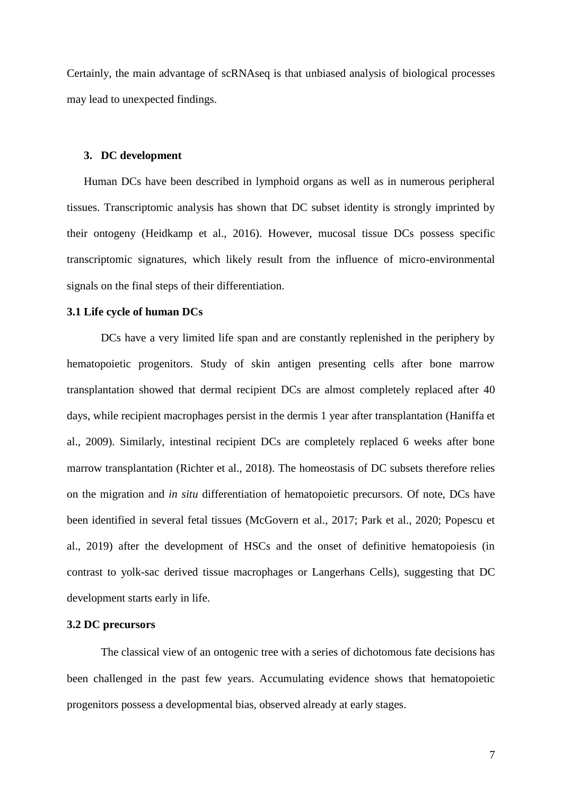Certainly, the main advantage of scRNAseq is that unbiased analysis of biological processes may lead to unexpected findings.

#### **3. DC development**

Human DCs have been described in lymphoid organs as well as in numerous peripheral tissues. Transcriptomic analysis has shown that DC subset identity is strongly imprinted by their ontogeny (Heidkamp et al., 2016). However, mucosal tissue DCs possess specific transcriptomic signatures, which likely result from the influence of micro-environmental signals on the final steps of their differentiation.

#### **3.1 Life cycle of human DCs**

DCs have a very limited life span and are constantly replenished in the periphery by hematopoietic progenitors. Study of skin antigen presenting cells after bone marrow transplantation showed that dermal recipient DCs are almost completely replaced after 40 days, while recipient macrophages persist in the dermis 1 year after transplantation (Haniffa et al., 2009). Similarly, intestinal recipient DCs are completely replaced 6 weeks after bone marrow transplantation (Richter et al., 2018). The homeostasis of DC subsets therefore relies on the migration and *in situ* differentiation of hematopoietic precursors. Of note, DCs have been identified in several fetal tissues (McGovern et al., 2017; Park et al., 2020; Popescu et al., 2019) after the development of HSCs and the onset of definitive hematopoiesis (in contrast to yolk-sac derived tissue macrophages or Langerhans Cells), suggesting that DC development starts early in life.

#### **3.2 DC precursors**

The classical view of an ontogenic tree with a series of dichotomous fate decisions has been challenged in the past few years. Accumulating evidence shows that hematopoietic progenitors possess a developmental bias, observed already at early stages.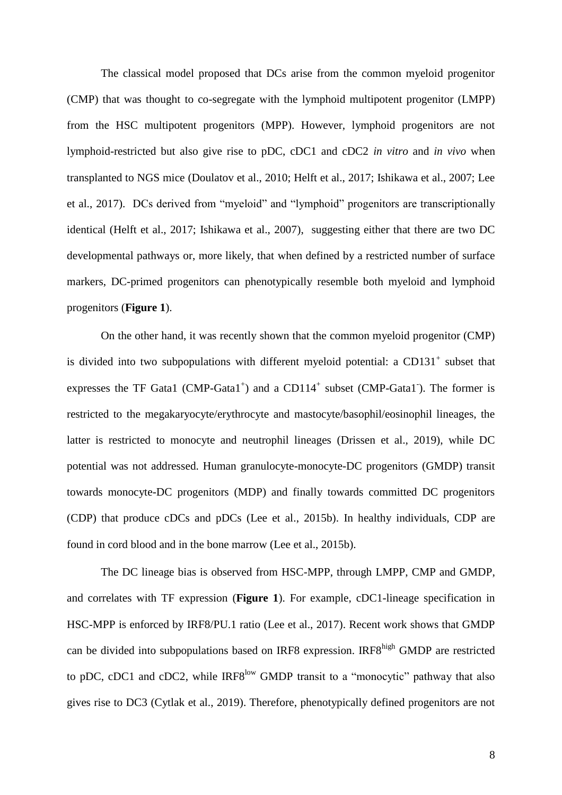The classical model proposed that DCs arise from the common myeloid progenitor (CMP) that was thought to co-segregate with the lymphoid multipotent progenitor (LMPP) from the HSC multipotent progenitors (MPP). However, lymphoid progenitors are not lymphoid-restricted but also give rise to pDC, cDC1 and cDC2 *in vitro* and *in vivo* when transplanted to NGS mice (Doulatov et al., 2010; Helft et al., 2017; Ishikawa et al., 2007; Lee et al., 2017). DCs derived from "myeloid" and "lymphoid" progenitors are transcriptionally identical (Helft et al., 2017; Ishikawa et al., 2007), suggesting either that there are two DC developmental pathways or, more likely, that when defined by a restricted number of surface markers, DC-primed progenitors can phenotypically resemble both myeloid and lymphoid progenitors (**Figure 1**).

On the other hand, it was recently shown that the common myeloid progenitor (CMP) is divided into two subpopulations with different myeloid potential: a CD131 $^+$  subset that expresses the TF Gata1 (CMP-Gata1<sup>+</sup>) and a CD114<sup>+</sup> subset (CMP-Gata1<sup>-</sup>). The former is restricted to the megakaryocyte/erythrocyte and mastocyte/basophil/eosinophil lineages, the latter is restricted to monocyte and neutrophil lineages (Drissen et al., 2019), while DC potential was not addressed. Human granulocyte-monocyte-DC progenitors (GMDP) transit towards monocyte-DC progenitors (MDP) and finally towards committed DC progenitors (CDP) that produce cDCs and pDCs (Lee et al., 2015b). In healthy individuals, CDP are found in cord blood and in the bone marrow (Lee et al., 2015b).

The DC lineage bias is observed from HSC-MPP, through LMPP, CMP and GMDP, and correlates with TF expression (**Figure 1**). For example, cDC1-lineage specification in HSC-MPP is enforced by IRF8/PU.1 ratio (Lee et al., 2017). Recent work shows that GMDP can be divided into subpopulations based on IRF8 expression. IRF8<sup>high</sup> GMDP are restricted to pDC, cDC1 and cDC2, while IRF8<sup>low</sup> GMDP transit to a "monocytic" pathway that also gives rise to DC3 (Cytlak et al., 2019). Therefore, phenotypically defined progenitors are not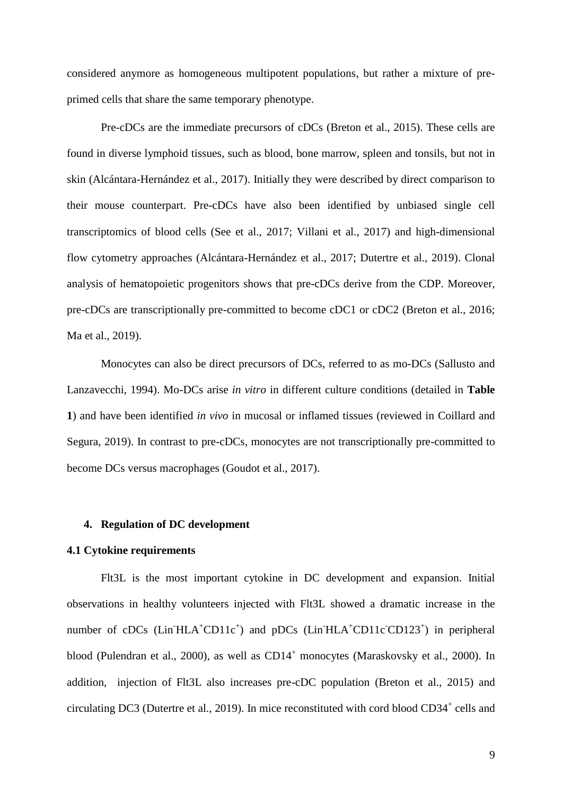considered anymore as homogeneous multipotent populations, but rather a mixture of preprimed cells that share the same temporary phenotype.

Pre-cDCs are the immediate precursors of cDCs (Breton et al., 2015). These cells are found in diverse lymphoid tissues, such as blood, bone marrow, spleen and tonsils, but not in skin (Alcántara-Hernández et al., 2017). Initially they were described by direct comparison to their mouse counterpart. Pre-cDCs have also been identified by unbiased single cell transcriptomics of blood cells (See et al., 2017; Villani et al., 2017) and high-dimensional flow cytometry approaches (Alcántara-Hernández et al., 2017; Dutertre et al., 2019). Clonal analysis of hematopoietic progenitors shows that pre-cDCs derive from the CDP. Moreover, pre-cDCs are transcriptionally pre-committed to become cDC1 or cDC2 (Breton et al., 2016; Ma et al., 2019).

Monocytes can also be direct precursors of DCs, referred to as mo-DCs (Sallusto and Lanzavecchi, 1994). Mo-DCs arise *in vitro* in different culture conditions (detailed in **Table 1**) and have been identified *in vivo* in mucosal or inflamed tissues (reviewed in Coillard and Segura, 2019). In contrast to pre-cDCs, monocytes are not transcriptionally pre-committed to become DCs versus macrophages (Goudot et al., 2017).

#### **4. Regulation of DC development**

#### **4.1 Cytokine requirements**

Flt3L is the most important cytokine in DC development and expansion. Initial observations in healthy volunteers injected with Flt3L showed a dramatic increase in the number of cDCs (Lin<sup>T</sup>HLA<sup>+</sup>CD11c<sup>+</sup>) and pDCs (Lin<sup>T</sup>HLA<sup>+</sup>CD11c<sup>-</sup>CD123<sup>+</sup>) in peripheral blood (Pulendran et al., 2000), as well as  $CD14<sup>+</sup>$  monocytes (Maraskovsky et al., 2000). In addition, injection of Flt3L also increases pre-cDC population (Breton et al., 2015) and circulating DC3 (Dutertre et al., 2019). In mice reconstituted with cord blood CD34<sup>+</sup> cells and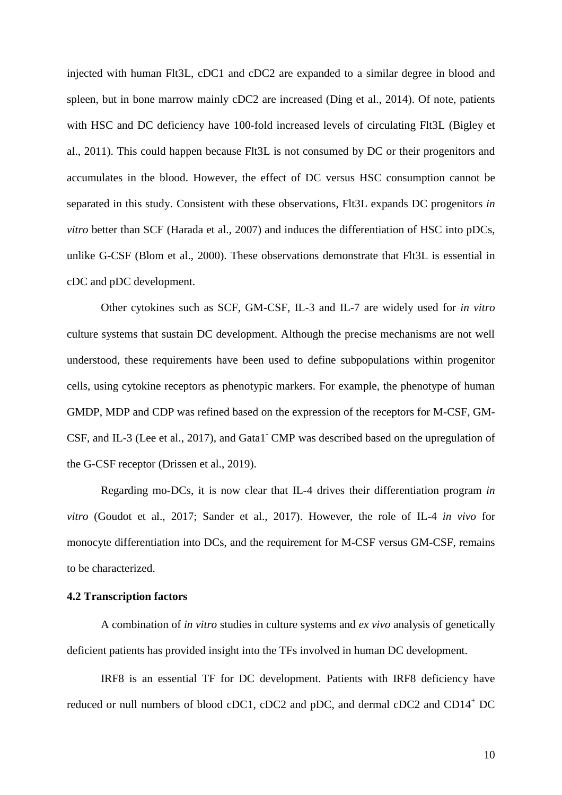injected with human Flt3L, cDC1 and cDC2 are expanded to a similar degree in blood and spleen, but in bone marrow mainly cDC2 are increased (Ding et al., 2014). Of note, patients with HSC and DC deficiency have 100-fold increased levels of circulating Flt3L (Bigley et al., 2011). This could happen because Flt3L is not consumed by DC or their progenitors and accumulates in the blood. However, the effect of DC versus HSC consumption cannot be separated in this study. Consistent with these observations, Flt3L expands DC progenitors *in vitro* better than SCF (Harada et al., 2007) and induces the differentiation of HSC into pDCs, unlike G-CSF (Blom et al., 2000). These observations demonstrate that Flt3L is essential in cDC and pDC development.

Other cytokines such as SCF, GM-CSF, IL-3 and IL-7 are widely used for *in vitro* culture systems that sustain DC development. Although the precise mechanisms are not well understood, these requirements have been used to define subpopulations within progenitor cells, using cytokine receptors as phenotypic markers. For example, the phenotype of human GMDP, MDP and CDP was refined based on the expression of the receptors for M-CSF, GM-CSF, and IL-3 (Lee et al., 2017), and Gata1- CMP was described based on the upregulation of the G-CSF receptor (Drissen et al., 2019).

Regarding mo-DCs, it is now clear that IL-4 drives their differentiation program *in vitro* (Goudot et al., 2017; Sander et al., 2017). However, the role of IL-4 *in vivo* for monocyte differentiation into DCs, and the requirement for M-CSF versus GM-CSF, remains to be characterized.

#### **4.2 Transcription factors**

A combination of *in vitro* studies in culture systems and *ex vivo* analysis of genetically deficient patients has provided insight into the TFs involved in human DC development.

IRF8 is an essential TF for DC development. Patients with IRF8 deficiency have reduced or null numbers of blood cDC1, cDC2 and pDC, and dermal cDC2 and CD14<sup>+</sup> DC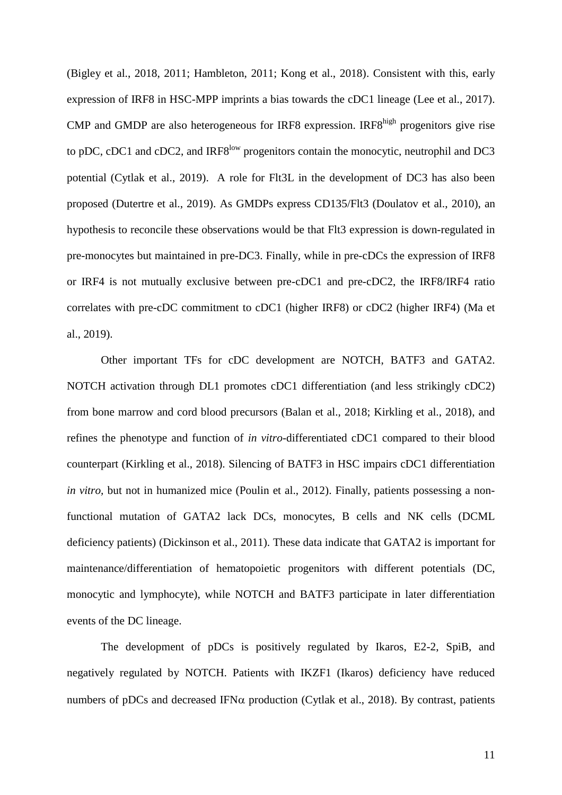(Bigley et al., 2018, 2011; Hambleton, 2011; Kong et al., 2018). Consistent with this, early expression of IRF8 in HSC-MPP imprints a bias towards the cDC1 lineage (Lee et al., 2017). CMP and GMDP are also heterogeneous for IRF8 expression. IRF8<sup>high</sup> progenitors give rise to pDC, cDC1 and cDC2, and IRF8<sup>low</sup> progenitors contain the monocytic, neutrophil and DC3 potential (Cytlak et al., 2019). A role for Flt3L in the development of DC3 has also been proposed (Dutertre et al., 2019). As GMDPs express CD135/Flt3 (Doulatov et al., 2010), an hypothesis to reconcile these observations would be that Flt3 expression is down-regulated in pre-monocytes but maintained in pre-DC3. Finally, while in pre-cDCs the expression of IRF8 or IRF4 is not mutually exclusive between pre-cDC1 and pre-cDC2, the IRF8/IRF4 ratio correlates with pre-cDC commitment to cDC1 (higher IRF8) or cDC2 (higher IRF4) (Ma et al., 2019).

Other important TFs for cDC development are NOTCH, BATF3 and GATA2. NOTCH activation through DL1 promotes cDC1 differentiation (and less strikingly cDC2) from bone marrow and cord blood precursors (Balan et al., 2018; Kirkling et al., 2018), and refines the phenotype and function of *in vitro*-differentiated cDC1 compared to their blood counterpart (Kirkling et al., 2018). Silencing of BATF3 in HSC impairs cDC1 differentiation *in vitro,* but not in humanized mice (Poulin et al., 2012). Finally, patients possessing a nonfunctional mutation of GATA2 lack DCs, monocytes, B cells and NK cells (DCML deficiency patients) (Dickinson et al., 2011). These data indicate that GATA2 is important for maintenance/differentiation of hematopoietic progenitors with different potentials (DC, monocytic and lymphocyte), while NOTCH and BATF3 participate in later differentiation events of the DC lineage.

The development of pDCs is positively regulated by Ikaros, E2-2, SpiB, and negatively regulated by NOTCH. Patients with IKZF1 (Ikaros) deficiency have reduced numbers of pDCs and decreased IFN $\alpha$  production (Cytlak et al., 2018). By contrast, patients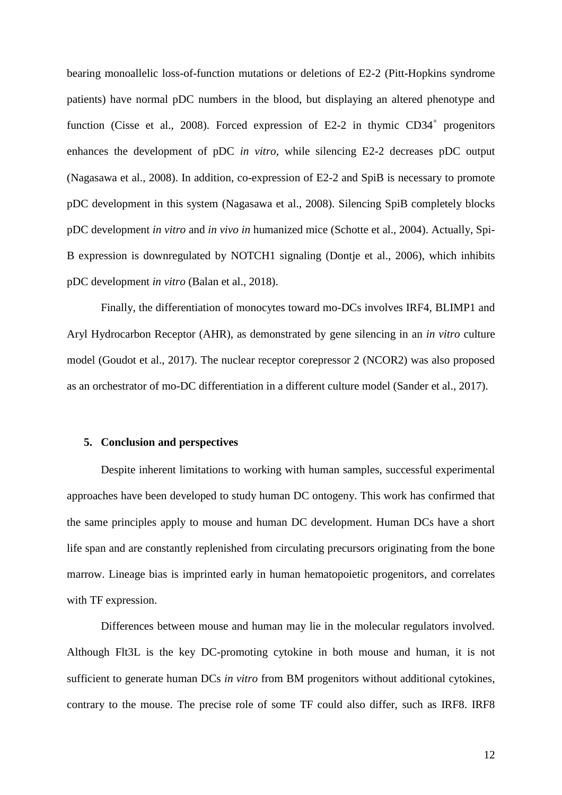bearing monoallelic loss-of-function mutations or deletions of E2-2 (Pitt-Hopkins syndrome patients) have normal pDC numbers in the blood, but displaying an altered phenotype and function (Cisse et al., 2008). Forced expression of E2-2 in thymic  $CD34^+$  progenitors enhances the development of pDC *in vitro*, while silencing E2-2 decreases pDC output (Nagasawa et al., 2008). In addition, co-expression of E2-2 and SpiB is necessary to promote pDC development in this system (Nagasawa et al., 2008). Silencing SpiB completely blocks pDC development *in vitro* and *in vivo in* humanized mice (Schotte et al., 2004). Actually, Spi-B expression is downregulated by NOTCH1 signaling (Dontje et al., 2006), which inhibits pDC development *in vitro* (Balan et al., 2018).

Finally, the differentiation of monocytes toward mo-DCs involves IRF4, BLIMP1 and Aryl Hydrocarbon Receptor (AHR), as demonstrated by gene silencing in an *in vitro* culture model (Goudot et al., 2017). The nuclear receptor corepressor 2 (NCOR2) was also proposed as an orchestrator of mo-DC differentiation in a different culture model (Sander et al., 2017).

#### **5. Conclusion and perspectives**

 Despite inherent limitations to working with human samples, successful experimental approaches have been developed to study human DC ontogeny. This work has confirmed that the same principles apply to mouse and human DC development. Human DCs have a short life span and are constantly replenished from circulating precursors originating from the bone marrow. Lineage bias is imprinted early in human hematopoietic progenitors, and correlates with TF expression.

Differences between mouse and human may lie in the molecular regulators involved. Although Flt3L is the key DC-promoting cytokine in both mouse and human, it is not sufficient to generate human DCs *in vitro* from BM progenitors without additional cytokines, contrary to the mouse. The precise role of some TF could also differ, such as IRF8. IRF8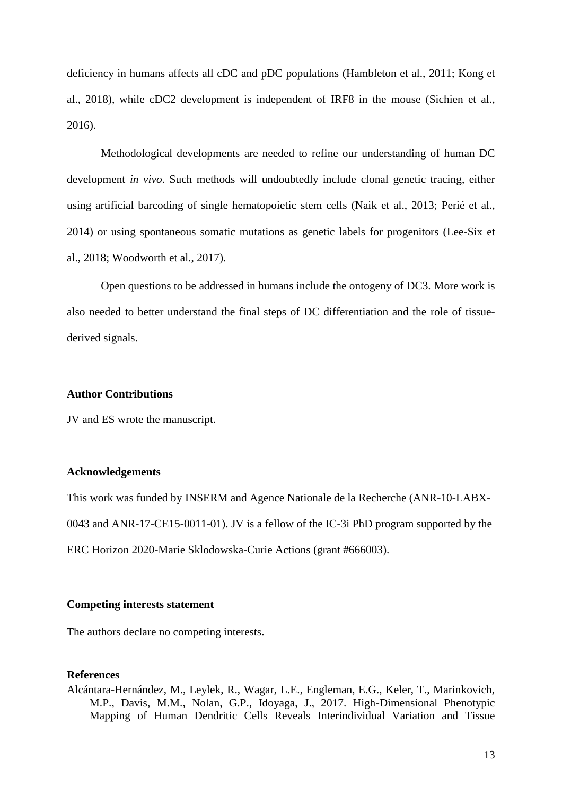deficiency in humans affects all cDC and pDC populations (Hambleton et al., 2011; Kong et al., 2018), while cDC2 development is independent of IRF8 in the mouse (Sichien et al., 2016).

Methodological developments are needed to refine our understanding of human DC development *in vivo*. Such methods will undoubtedly include clonal genetic tracing, either using artificial barcoding of single hematopoietic stem cells (Naik et al., 2013; Perié et al., 2014) or using spontaneous somatic mutations as genetic labels for progenitors (Lee-Six et al., 2018; Woodworth et al., 2017).

Open questions to be addressed in humans include the ontogeny of DC3. More work is also needed to better understand the final steps of DC differentiation and the role of tissuederived signals.

#### **Author Contributions**

JV and ES wrote the manuscript.

#### **Acknowledgements**

This work was funded by INSERM and Agence Nationale de la Recherche (ANR-10-LABX-0043 and ANR-17-CE15-0011-01). JV is a fellow of the IC-3i PhD program supported by the ERC Horizon 2020-Marie Sklodowska-Curie Actions (grant #666003).

#### **Competing interests statement**

The authors declare no competing interests.

#### **References**

Alcántara-Hernández, M., Leylek, R., Wagar, L.E., Engleman, E.G., Keler, T., Marinkovich, M.P., Davis, M.M., Nolan, G.P., Idoyaga, J., 2017. High-Dimensional Phenotypic Mapping of Human Dendritic Cells Reveals Interindividual Variation and Tissue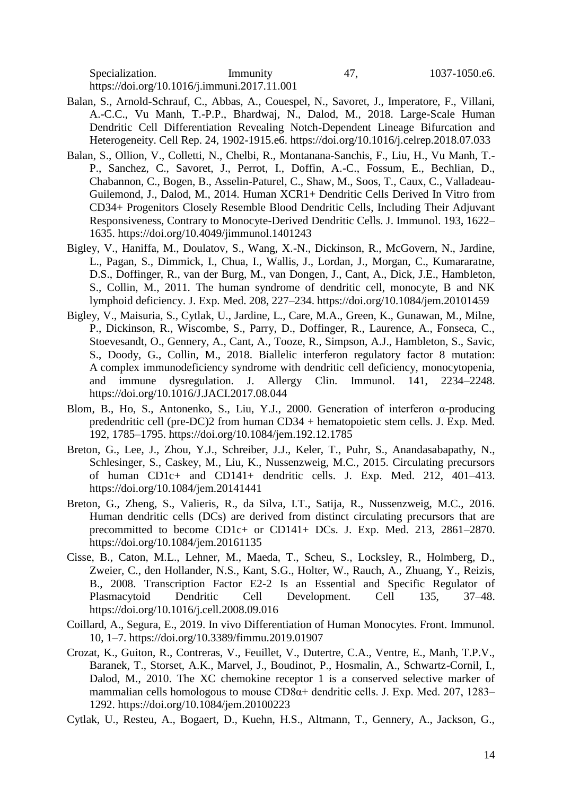Specialization. Immunity 47, 1037-1050.e6. https://doi.org/10.1016/j.immuni.2017.11.001

- Balan, S., Arnold-Schrauf, C., Abbas, A., Couespel, N., Savoret, J., Imperatore, F., Villani, A.-C.C., Vu Manh, T.-P.P., Bhardwaj, N., Dalod, M., 2018. Large-Scale Human Dendritic Cell Differentiation Revealing Notch-Dependent Lineage Bifurcation and Heterogeneity. Cell Rep. 24, 1902-1915.e6. https://doi.org/10.1016/j.celrep.2018.07.033
- Balan, S., Ollion, V., Colletti, N., Chelbi, R., Montanana-Sanchis, F., Liu, H., Vu Manh, T.- P., Sanchez, C., Savoret, J., Perrot, I., Doffin, A.-C., Fossum, E., Bechlian, D., Chabannon, C., Bogen, B., Asselin-Paturel, C., Shaw, M., Soos, T., Caux, C., Valladeau-Guilemond, J., Dalod, M., 2014. Human XCR1+ Dendritic Cells Derived In Vitro from CD34+ Progenitors Closely Resemble Blood Dendritic Cells, Including Their Adjuvant Responsiveness, Contrary to Monocyte-Derived Dendritic Cells. J. Immunol. 193, 1622– 1635. https://doi.org/10.4049/jimmunol.1401243
- Bigley, V., Haniffa, M., Doulatov, S., Wang, X.-N., Dickinson, R., McGovern, N., Jardine, L., Pagan, S., Dimmick, I., Chua, I., Wallis, J., Lordan, J., Morgan, C., Kumararatne, D.S., Doffinger, R., van der Burg, M., van Dongen, J., Cant, A., Dick, J.E., Hambleton, S., Collin, M., 2011. The human syndrome of dendritic cell, monocyte, B and NK lymphoid deficiency. J. Exp. Med. 208, 227–234. https://doi.org/10.1084/jem.20101459
- Bigley, V., Maisuria, S., Cytlak, U., Jardine, L., Care, M.A., Green, K., Gunawan, M., Milne, P., Dickinson, R., Wiscombe, S., Parry, D., Doffinger, R., Laurence, A., Fonseca, C., Stoevesandt, O., Gennery, A., Cant, A., Tooze, R., Simpson, A.J., Hambleton, S., Savic, S., Doody, G., Collin, M., 2018. Biallelic interferon regulatory factor 8 mutation: A complex immunodeficiency syndrome with dendritic cell deficiency, monocytopenia, and immune dysregulation. J. Allergy Clin. Immunol. 141, 2234–2248. https://doi.org/10.1016/J.JACI.2017.08.044
- Blom, B., Ho, S., Antonenko, S., Liu, Y.J., 2000. Generation of interferon α-producing predendritic cell (pre-DC)2 from human CD34 + hematopoietic stem cells. J. Exp. Med. 192, 1785–1795. https://doi.org/10.1084/jem.192.12.1785
- Breton, G., Lee, J., Zhou, Y.J., Schreiber, J.J., Keler, T., Puhr, S., Anandasabapathy, N., Schlesinger, S., Caskey, M., Liu, K., Nussenzweig, M.C., 2015. Circulating precursors of human CD1c+ and CD141+ dendritic cells. J. Exp. Med. 212, 401–413. https://doi.org/10.1084/jem.20141441
- Breton, G., Zheng, S., Valieris, R., da Silva, I.T., Satija, R., Nussenzweig, M.C., 2016. Human dendritic cells (DCs) are derived from distinct circulating precursors that are precommitted to become CD1c+ or CD141+ DCs. J. Exp. Med. 213, 2861–2870. https://doi.org/10.1084/jem.20161135
- Cisse, B., Caton, M.L., Lehner, M., Maeda, T., Scheu, S., Locksley, R., Holmberg, D., Zweier, C., den Hollander, N.S., Kant, S.G., Holter, W., Rauch, A., Zhuang, Y., Reizis, B., 2008. Transcription Factor E2-2 Is an Essential and Specific Regulator of Plasmacytoid Dendritic Cell Development. Cell 135, 37–48. https://doi.org/10.1016/j.cell.2008.09.016
- Coillard, A., Segura, E., 2019. In vivo Differentiation of Human Monocytes. Front. Immunol. 10, 1–7. https://doi.org/10.3389/fimmu.2019.01907
- Crozat, K., Guiton, R., Contreras, V., Feuillet, V., Dutertre, C.A., Ventre, E., Manh, T.P.V., Baranek, T., Storset, A.K., Marvel, J., Boudinot, P., Hosmalin, A., Schwartz-Cornil, I., Dalod, M., 2010. The XC chemokine receptor 1 is a conserved selective marker of mammalian cells homologous to mouse CD8α+ dendritic cells. J. Exp. Med. 207, 1283– 1292. https://doi.org/10.1084/jem.20100223
- Cytlak, U., Resteu, A., Bogaert, D., Kuehn, H.S., Altmann, T., Gennery, A., Jackson, G.,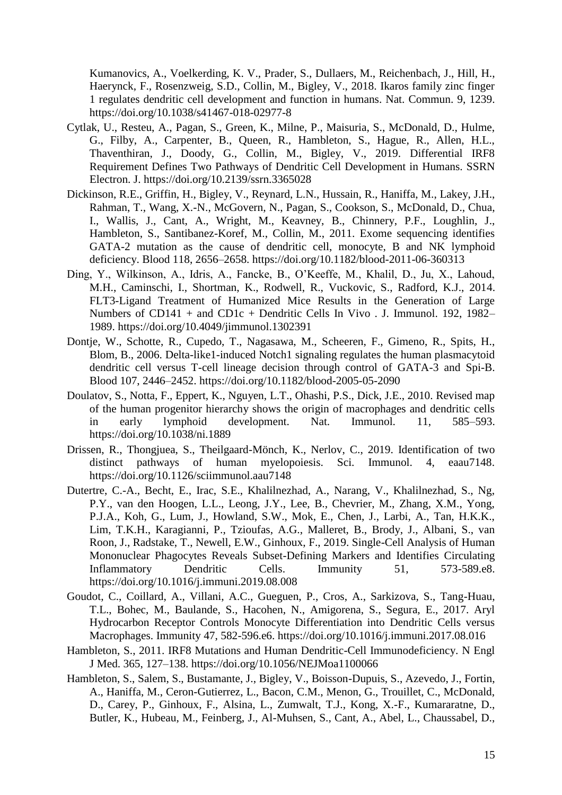Kumanovics, A., Voelkerding, K. V., Prader, S., Dullaers, M., Reichenbach, J., Hill, H., Haerynck, F., Rosenzweig, S.D., Collin, M., Bigley, V., 2018. Ikaros family zinc finger 1 regulates dendritic cell development and function in humans. Nat. Commun. 9, 1239. https://doi.org/10.1038/s41467-018-02977-8

- Cytlak, U., Resteu, A., Pagan, S., Green, K., Milne, P., Maisuria, S., McDonald, D., Hulme, G., Filby, A., Carpenter, B., Queen, R., Hambleton, S., Hague, R., Allen, H.L., Thaventhiran, J., Doody, G., Collin, M., Bigley, V., 2019. Differential IRF8 Requirement Defines Two Pathways of Dendritic Cell Development in Humans. SSRN Electron. J. https://doi.org/10.2139/ssrn.3365028
- Dickinson, R.E., Griffin, H., Bigley, V., Reynard, L.N., Hussain, R., Haniffa, M., Lakey, J.H., Rahman, T., Wang, X.-N., McGovern, N., Pagan, S., Cookson, S., McDonald, D., Chua, I., Wallis, J., Cant, A., Wright, M., Keavney, B., Chinnery, P.F., Loughlin, J., Hambleton, S., Santibanez-Koref, M., Collin, M., 2011. Exome sequencing identifies GATA-2 mutation as the cause of dendritic cell, monocyte, B and NK lymphoid deficiency. Blood 118, 2656–2658. https://doi.org/10.1182/blood-2011-06-360313
- Ding, Y., Wilkinson, A., Idris, A., Fancke, B., O'Keeffe, M., Khalil, D., Ju, X., Lahoud, M.H., Caminschi, I., Shortman, K., Rodwell, R., Vuckovic, S., Radford, K.J., 2014. FLT3-Ligand Treatment of Humanized Mice Results in the Generation of Large Numbers of CD141 + and CD1c + Dendritic Cells In Vivo . J. Immunol. 192, 1982– 1989. https://doi.org/10.4049/jimmunol.1302391
- Dontje, W., Schotte, R., Cupedo, T., Nagasawa, M., Scheeren, F., Gimeno, R., Spits, H., Blom, B., 2006. Delta-like1-induced Notch1 signaling regulates the human plasmacytoid dendritic cell versus T-cell lineage decision through control of GATA-3 and Spi-B. Blood 107, 2446–2452. https://doi.org/10.1182/blood-2005-05-2090
- Doulatov, S., Notta, F., Eppert, K., Nguyen, L.T., Ohashi, P.S., Dick, J.E., 2010. Revised map of the human progenitor hierarchy shows the origin of macrophages and dendritic cells in early lymphoid development. Nat. Immunol. 11, 585–593. https://doi.org/10.1038/ni.1889
- Drissen, R., Thongjuea, S., Theilgaard-Mönch, K., Nerlov, C., 2019. Identification of two distinct pathways of human myelopoiesis. Sci. Immunol. 4, eaau7148. https://doi.org/10.1126/sciimmunol.aau7148
- Dutertre, C.-A., Becht, E., Irac, S.E., Khalilnezhad, A., Narang, V., Khalilnezhad, S., Ng, P.Y., van den Hoogen, L.L., Leong, J.Y., Lee, B., Chevrier, M., Zhang, X.M., Yong, P.J.A., Koh, G., Lum, J., Howland, S.W., Mok, E., Chen, J., Larbi, A., Tan, H.K.K., Lim, T.K.H., Karagianni, P., Tzioufas, A.G., Malleret, B., Brody, J., Albani, S., van Roon, J., Radstake, T., Newell, E.W., Ginhoux, F., 2019. Single-Cell Analysis of Human Mononuclear Phagocytes Reveals Subset-Defining Markers and Identifies Circulating Inflammatory Dendritic Cells. Immunity 51, 573-589.e8. https://doi.org/10.1016/j.immuni.2019.08.008
- Goudot, C., Coillard, A., Villani, A.C., Gueguen, P., Cros, A., Sarkizova, S., Tang-Huau, T.L., Bohec, M., Baulande, S., Hacohen, N., Amigorena, S., Segura, E., 2017. Aryl Hydrocarbon Receptor Controls Monocyte Differentiation into Dendritic Cells versus Macrophages. Immunity 47, 582-596.e6. https://doi.org/10.1016/j.immuni.2017.08.016
- Hambleton, S., 2011. IRF8 Mutations and Human Dendritic-Cell Immunodeficiency. N Engl J Med. 365, 127–138. https://doi.org/10.1056/NEJMoa1100066
- Hambleton, S., Salem, S., Bustamante, J., Bigley, V., Boisson-Dupuis, S., Azevedo, J., Fortin, A., Haniffa, M., Ceron-Gutierrez, L., Bacon, C.M., Menon, G., Trouillet, C., McDonald, D., Carey, P., Ginhoux, F., Alsina, L., Zumwalt, T.J., Kong, X.-F., Kumararatne, D., Butler, K., Hubeau, M., Feinberg, J., Al-Muhsen, S., Cant, A., Abel, L., Chaussabel, D.,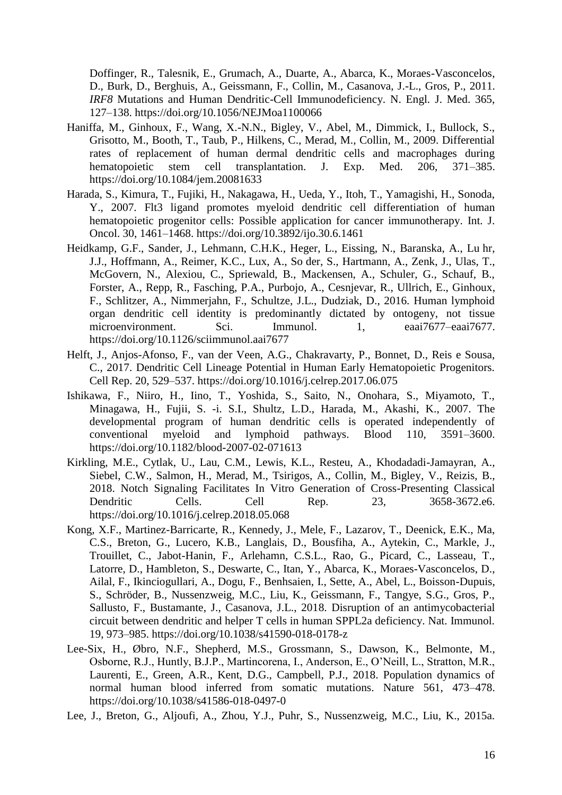Doffinger, R., Talesnik, E., Grumach, A., Duarte, A., Abarca, K., Moraes-Vasconcelos, D., Burk, D., Berghuis, A., Geissmann, F., Collin, M., Casanova, J.-L., Gros, P., 2011. *IRF8* Mutations and Human Dendritic-Cell Immunodeficiency. N. Engl. J. Med. 365, 127–138. https://doi.org/10.1056/NEJMoa1100066

- Haniffa, M., Ginhoux, F., Wang, X.-N.N., Bigley, V., Abel, M., Dimmick, I., Bullock, S., Grisotto, M., Booth, T., Taub, P., Hilkens, C., Merad, M., Collin, M., 2009. Differential rates of replacement of human dermal dendritic cells and macrophages during hematopoietic stem cell transplantation. J. Exp. Med. 206, 371–385. https://doi.org/10.1084/jem.20081633
- Harada, S., Kimura, T., Fujiki, H., Nakagawa, H., Ueda, Y., Itoh, T., Yamagishi, H., Sonoda, Y., 2007. Flt3 ligand promotes myeloid dendritic cell differentiation of human hematopoietic progenitor cells: Possible application for cancer immunotherapy. Int. J. Oncol. 30, 1461–1468. https://doi.org/10.3892/ijo.30.6.1461
- Heidkamp, G.F., Sander, J., Lehmann, C.H.K., Heger, L., Eissing, N., Baranska, A., Lu hr, J.J., Hoffmann, A., Reimer, K.C., Lux, A., So der, S., Hartmann, A., Zenk, J., Ulas, T., McGovern, N., Alexiou, C., Spriewald, B., Mackensen, A., Schuler, G., Schauf, B., Forster, A., Repp, R., Fasching, P.A., Purbojo, A., Cesnjevar, R., Ullrich, E., Ginhoux, F., Schlitzer, A., Nimmerjahn, F., Schultze, J.L., Dudziak, D., 2016. Human lymphoid organ dendritic cell identity is predominantly dictated by ontogeny, not tissue microenvironment. Sci. Immunol. 1, eaai7677–eaai7677. https://doi.org/10.1126/sciimmunol.aai7677
- Helft, J., Anjos-Afonso, F., van der Veen, A.G., Chakravarty, P., Bonnet, D., Reis e Sousa, C., 2017. Dendritic Cell Lineage Potential in Human Early Hematopoietic Progenitors. Cell Rep. 20, 529–537. https://doi.org/10.1016/j.celrep.2017.06.075
- Ishikawa, F., Niiro, H., Iino, T., Yoshida, S., Saito, N., Onohara, S., Miyamoto, T., Minagawa, H., Fujii, S. -i. S.I., Shultz, L.D., Harada, M., Akashi, K., 2007. The developmental program of human dendritic cells is operated independently of conventional myeloid and lymphoid pathways. Blood 110, 3591–3600. https://doi.org/10.1182/blood-2007-02-071613
- Kirkling, M.E., Cytlak, U., Lau, C.M., Lewis, K.L., Resteu, A., Khodadadi-Jamayran, A., Siebel, C.W., Salmon, H., Merad, M., Tsirigos, A., Collin, M., Bigley, V., Reizis, B., 2018. Notch Signaling Facilitates In Vitro Generation of Cross-Presenting Classical Dendritic Cells. Cell Rep. 23, 3658-3672.e6. https://doi.org/10.1016/j.celrep.2018.05.068
- Kong, X.F., Martinez-Barricarte, R., Kennedy, J., Mele, F., Lazarov, T., Deenick, E.K., Ma, C.S., Breton, G., Lucero, K.B., Langlais, D., Bousfiha, A., Aytekin, C., Markle, J., Trouillet, C., Jabot-Hanin, F., Arlehamn, C.S.L., Rao, G., Picard, C., Lasseau, T., Latorre, D., Hambleton, S., Deswarte, C., Itan, Y., Abarca, K., Moraes-Vasconcelos, D., Ailal, F., Ikinciogullari, A., Dogu, F., Benhsaien, I., Sette, A., Abel, L., Boisson-Dupuis, S., Schröder, B., Nussenzweig, M.C., Liu, K., Geissmann, F., Tangye, S.G., Gros, P., Sallusto, F., Bustamante, J., Casanova, J.L., 2018. Disruption of an antimycobacterial circuit between dendritic and helper T cells in human SPPL2a deficiency. Nat. Immunol. 19, 973–985. https://doi.org/10.1038/s41590-018-0178-z
- Lee-Six, H., Øbro, N.F., Shepherd, M.S., Grossmann, S., Dawson, K., Belmonte, M., Osborne, R.J., Huntly, B.J.P., Martincorena, I., Anderson, E., O'Neill, L., Stratton, M.R., Laurenti, E., Green, A.R., Kent, D.G., Campbell, P.J., 2018. Population dynamics of normal human blood inferred from somatic mutations. Nature 561, 473–478. https://doi.org/10.1038/s41586-018-0497-0
- Lee, J., Breton, G., Aljoufi, A., Zhou, Y.J., Puhr, S., Nussenzweig, M.C., Liu, K., 2015a.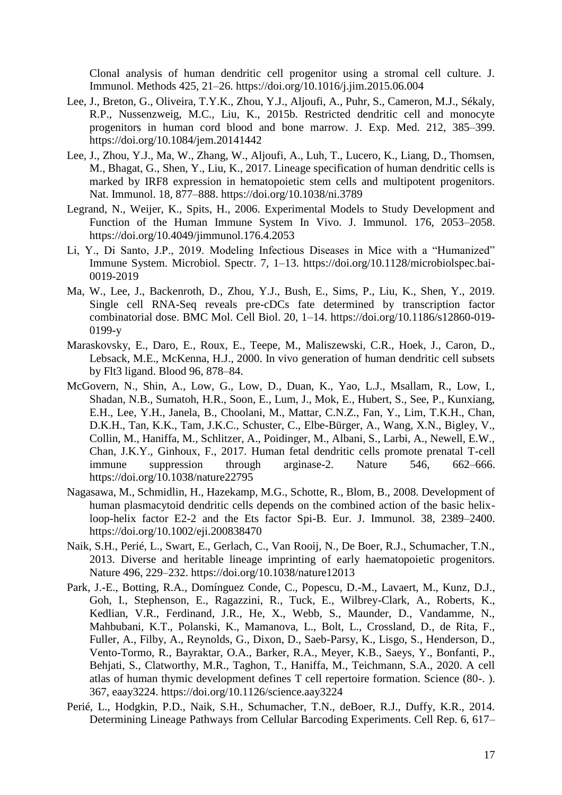Clonal analysis of human dendritic cell progenitor using a stromal cell culture. J. Immunol. Methods 425, 21–26. https://doi.org/10.1016/j.jim.2015.06.004

- Lee, J., Breton, G., Oliveira, T.Y.K., Zhou, Y.J., Aljoufi, A., Puhr, S., Cameron, M.J., Sékaly, R.P., Nussenzweig, M.C., Liu, K., 2015b. Restricted dendritic cell and monocyte progenitors in human cord blood and bone marrow. J. Exp. Med. 212, 385–399. https://doi.org/10.1084/jem.20141442
- Lee, J., Zhou, Y.J., Ma, W., Zhang, W., Aljoufi, A., Luh, T., Lucero, K., Liang, D., Thomsen, M., Bhagat, G., Shen, Y., Liu, K., 2017. Lineage specification of human dendritic cells is marked by IRF8 expression in hematopoietic stem cells and multipotent progenitors. Nat. Immunol. 18, 877–888. https://doi.org/10.1038/ni.3789
- Legrand, N., Weijer, K., Spits, H., 2006. Experimental Models to Study Development and Function of the Human Immune System In Vivo. J. Immunol. 176, 2053–2058. https://doi.org/10.4049/jimmunol.176.4.2053
- Li, Y., Di Santo, J.P., 2019. Modeling Infectious Diseases in Mice with a "Humanized" Immune System. Microbiol. Spectr. 7, 1–13. https://doi.org/10.1128/microbiolspec.bai-0019-2019
- Ma, W., Lee, J., Backenroth, D., Zhou, Y.J., Bush, E., Sims, P., Liu, K., Shen, Y., 2019. Single cell RNA-Seq reveals pre-cDCs fate determined by transcription factor combinatorial dose. BMC Mol. Cell Biol. 20, 1–14. https://doi.org/10.1186/s12860-019- 0199-y
- Maraskovsky, E., Daro, E., Roux, E., Teepe, M., Maliszewski, C.R., Hoek, J., Caron, D., Lebsack, M.E., McKenna, H.J., 2000. In vivo generation of human dendritic cell subsets by Flt3 ligand. Blood 96, 878–84.
- McGovern, N., Shin, A., Low, G., Low, D., Duan, K., Yao, L.J., Msallam, R., Low, I., Shadan, N.B., Sumatoh, H.R., Soon, E., Lum, J., Mok, E., Hubert, S., See, P., Kunxiang, E.H., Lee, Y.H., Janela, B., Choolani, M., Mattar, C.N.Z., Fan, Y., Lim, T.K.H., Chan, D.K.H., Tan, K.K., Tam, J.K.C., Schuster, C., Elbe-Bürger, A., Wang, X.N., Bigley, V., Collin, M., Haniffa, M., Schlitzer, A., Poidinger, M., Albani, S., Larbi, A., Newell, E.W., Chan, J.K.Y., Ginhoux, F., 2017. Human fetal dendritic cells promote prenatal T-cell immune suppression through arginase-2. Nature 546, 662–666. https://doi.org/10.1038/nature22795
- Nagasawa, M., Schmidlin, H., Hazekamp, M.G., Schotte, R., Blom, B., 2008. Development of human plasmacytoid dendritic cells depends on the combined action of the basic helixloop-helix factor E2-2 and the Ets factor Spi-B. Eur. J. Immunol. 38, 2389–2400. https://doi.org/10.1002/eji.200838470
- Naik, S.H., Perié, L., Swart, E., Gerlach, C., Van Rooij, N., De Boer, R.J., Schumacher, T.N., 2013. Diverse and heritable lineage imprinting of early haematopoietic progenitors. Nature 496, 229–232. https://doi.org/10.1038/nature12013
- Park, J.-E., Botting, R.A., Domínguez Conde, C., Popescu, D.-M., Lavaert, M., Kunz, D.J., Goh, I., Stephenson, E., Ragazzini, R., Tuck, E., Wilbrey-Clark, A., Roberts, K., Kedlian, V.R., Ferdinand, J.R., He, X., Webb, S., Maunder, D., Vandamme, N., Mahbubani, K.T., Polanski, K., Mamanova, L., Bolt, L., Crossland, D., de Rita, F., Fuller, A., Filby, A., Reynolds, G., Dixon, D., Saeb-Parsy, K., Lisgo, S., Henderson, D., Vento-Tormo, R., Bayraktar, O.A., Barker, R.A., Meyer, K.B., Saeys, Y., Bonfanti, P., Behjati, S., Clatworthy, M.R., Taghon, T., Haniffa, M., Teichmann, S.A., 2020. A cell atlas of human thymic development defines T cell repertoire formation. Science (80-. ). 367, eaay3224. https://doi.org/10.1126/science.aay3224
- Perié, L., Hodgkin, P.D., Naik, S.H., Schumacher, T.N., deBoer, R.J., Duffy, K.R., 2014. Determining Lineage Pathways from Cellular Barcoding Experiments. Cell Rep. 6, 617–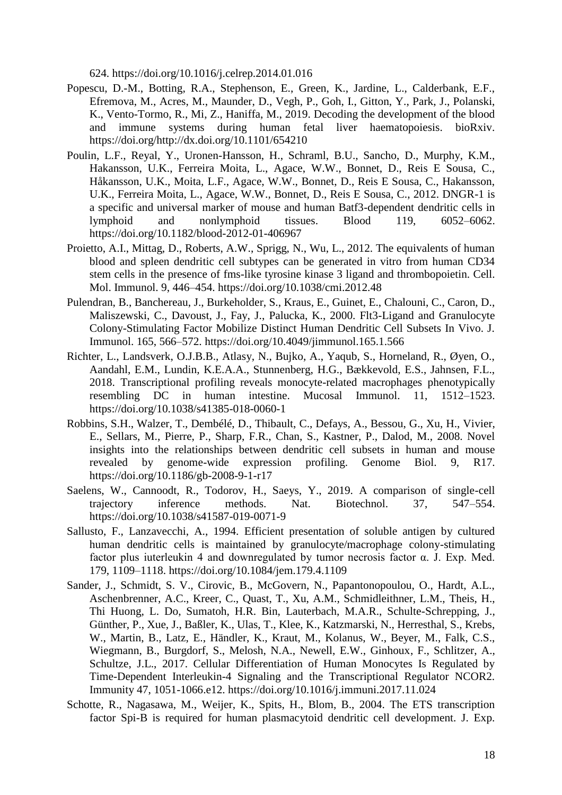624. https://doi.org/10.1016/j.celrep.2014.01.016

- Popescu, D.-M., Botting, R.A., Stephenson, E., Green, K., Jardine, L., Calderbank, E.F., Efremova, M., Acres, M., Maunder, D., Vegh, P., Goh, I., Gitton, Y., Park, J., Polanski, K., Vento-Tormo, R., Mi, Z., Haniffa, M., 2019. Decoding the development of the blood and immune systems during human fetal liver haematopoiesis. bioRxiv. https://doi.org/http://dx.doi.org/10.1101/654210
- Poulin, L.F., Reyal, Y., Uronen-Hansson, H., Schraml, B.U., Sancho, D., Murphy, K.M., Hakansson, U.K., Ferreira Moita, L., Agace, W.W., Bonnet, D., Reis E Sousa, C., Håkansson, U.K., Moita, L.F., Agace, W.W., Bonnet, D., Reis E Sousa, C., Hakansson, U.K., Ferreira Moita, L., Agace, W.W., Bonnet, D., Reis E Sousa, C., 2012. DNGR-1 is a specific and universal marker of mouse and human Batf3-dependent dendritic cells in lymphoid and nonlymphoid tissues. Blood 119, 6052–6062. https://doi.org/10.1182/blood-2012-01-406967
- Proietto, A.I., Mittag, D., Roberts, A.W., Sprigg, N., Wu, L., 2012. The equivalents of human blood and spleen dendritic cell subtypes can be generated in vitro from human CD34 stem cells in the presence of fms-like tyrosine kinase 3 ligand and thrombopoietin. Cell. Mol. Immunol. 9, 446–454. https://doi.org/10.1038/cmi.2012.48
- Pulendran, B., Banchereau, J., Burkeholder, S., Kraus, E., Guinet, E., Chalouni, C., Caron, D., Maliszewski, C., Davoust, J., Fay, J., Palucka, K., 2000. Flt3-Ligand and Granulocyte Colony-Stimulating Factor Mobilize Distinct Human Dendritic Cell Subsets In Vivo. J. Immunol. 165, 566–572. https://doi.org/10.4049/jimmunol.165.1.566
- Richter, L., Landsverk, O.J.B.B., Atlasy, N., Bujko, A., Yaqub, S., Horneland, R., Øyen, O., Aandahl, E.M., Lundin, K.E.A.A., Stunnenberg, H.G., Bækkevold, E.S., Jahnsen, F.L., 2018. Transcriptional profiling reveals monocyte-related macrophages phenotypically resembling DC in human intestine. Mucosal Immunol. 11, 1512–1523. https://doi.org/10.1038/s41385-018-0060-1
- Robbins, S.H., Walzer, T., Dembélé, D., Thibault, C., Defays, A., Bessou, G., Xu, H., Vivier, E., Sellars, M., Pierre, P., Sharp, F.R., Chan, S., Kastner, P., Dalod, M., 2008. Novel insights into the relationships between dendritic cell subsets in human and mouse revealed by genome-wide expression profiling. Genome Biol. 9, R17. https://doi.org/10.1186/gb-2008-9-1-r17
- Saelens, W., Cannoodt, R., Todorov, H., Saeys, Y., 2019. A comparison of single-cell trajectory inference methods. Nat. Biotechnol. 37, 547–554. https://doi.org/10.1038/s41587-019-0071-9
- Sallusto, F., Lanzavecchi, A., 1994. Efficient presentation of soluble antigen by cultured human dendritic cells is maintained by granulocyte/macrophage colony-stimulating factor plus iuterleukin 4 and downregulated by tumor necrosis factor  $\alpha$ . J. Exp. Med. 179, 1109–1118. https://doi.org/10.1084/jem.179.4.1109
- Sander, J., Schmidt, S. V., Cirovic, B., McGovern, N., Papantonopoulou, O., Hardt, A.L., Aschenbrenner, A.C., Kreer, C., Quast, T., Xu, A.M., Schmidleithner, L.M., Theis, H., Thi Huong, L. Do, Sumatoh, H.R. Bin, Lauterbach, M.A.R., Schulte-Schrepping, J., Günther, P., Xue, J., Baßler, K., Ulas, T., Klee, K., Katzmarski, N., Herresthal, S., Krebs, W., Martin, B., Latz, E., Händler, K., Kraut, M., Kolanus, W., Beyer, M., Falk, C.S., Wiegmann, B., Burgdorf, S., Melosh, N.A., Newell, E.W., Ginhoux, F., Schlitzer, A., Schultze, J.L., 2017. Cellular Differentiation of Human Monocytes Is Regulated by Time-Dependent Interleukin-4 Signaling and the Transcriptional Regulator NCOR2. Immunity 47, 1051-1066.e12. https://doi.org/10.1016/j.immuni.2017.11.024
- Schotte, R., Nagasawa, M., Weijer, K., Spits, H., Blom, B., 2004. The ETS transcription factor Spi-B is required for human plasmacytoid dendritic cell development. J. Exp.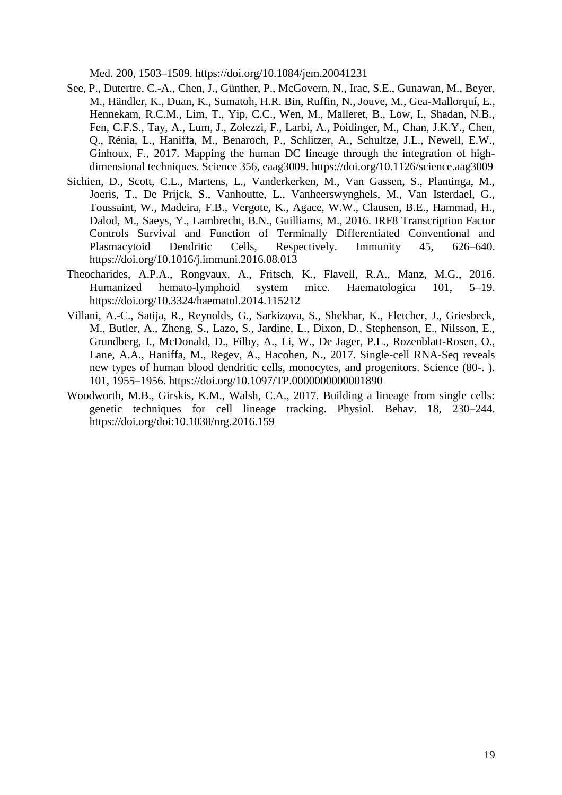Med. 200, 1503–1509. https://doi.org/10.1084/jem.20041231

- See, P., Dutertre, C.-A., Chen, J., Günther, P., McGovern, N., Irac, S.E., Gunawan, M., Beyer, M., Händler, K., Duan, K., Sumatoh, H.R. Bin, Ruffin, N., Jouve, M., Gea-Mallorquí, E., Hennekam, R.C.M., Lim, T., Yip, C.C., Wen, M., Malleret, B., Low, I., Shadan, N.B., Fen, C.F.S., Tay, A., Lum, J., Zolezzi, F., Larbi, A., Poidinger, M., Chan, J.K.Y., Chen, Q., Rénia, L., Haniffa, M., Benaroch, P., Schlitzer, A., Schultze, J.L., Newell, E.W., Ginhoux, F., 2017. Mapping the human DC lineage through the integration of highdimensional techniques. Science 356, eaag3009. https://doi.org/10.1126/science.aag3009
- Sichien, D., Scott, C.L., Martens, L., Vanderkerken, M., Van Gassen, S., Plantinga, M., Joeris, T., De Prijck, S., Vanhoutte, L., Vanheerswynghels, M., Van Isterdael, G., Toussaint, W., Madeira, F.B., Vergote, K., Agace, W.W., Clausen, B.E., Hammad, H., Dalod, M., Saeys, Y., Lambrecht, B.N., Guilliams, M., 2016. IRF8 Transcription Factor Controls Survival and Function of Terminally Differentiated Conventional and Plasmacytoid Dendritic Cells, Respectively. Immunity 45, 626–640. https://doi.org/10.1016/j.immuni.2016.08.013
- Theocharides, A.P.A., Rongvaux, A., Fritsch, K., Flavell, R.A., Manz, M.G., 2016. Humanized hemato-lymphoid system mice. Haematologica 101, 5–19. https://doi.org/10.3324/haematol.2014.115212
- Villani, A.-C., Satija, R., Reynolds, G., Sarkizova, S., Shekhar, K., Fletcher, J., Griesbeck, M., Butler, A., Zheng, S., Lazo, S., Jardine, L., Dixon, D., Stephenson, E., Nilsson, E., Grundberg, I., McDonald, D., Filby, A., Li, W., De Jager, P.L., Rozenblatt-Rosen, O., Lane, A.A., Haniffa, M., Regev, A., Hacohen, N., 2017. Single-cell RNA-Seq reveals new types of human blood dendritic cells, monocytes, and progenitors. Science (80-. ). 101, 1955–1956. https://doi.org/10.1097/TP.0000000000001890
- Woodworth, M.B., Girskis, K.M., Walsh, C.A., 2017. Building a lineage from single cells: genetic techniques for cell lineage tracking. Physiol. Behav. 18, 230–244. https://doi.org/doi:10.1038/nrg.2016.159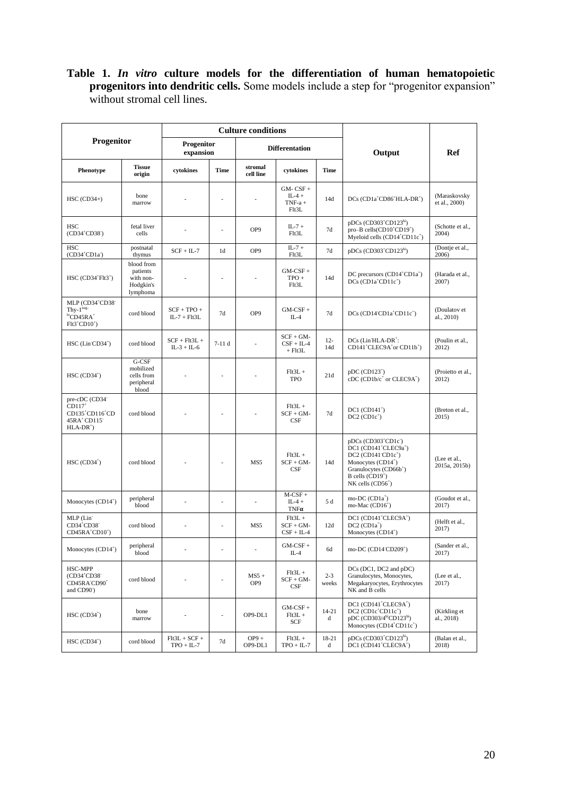#### **Table 1.** *In vitro* **culture models for the differentiation of human hematopoietic progenitors into dendritic cells.** Some models include a step for "progenitor expansion" without stromal cell lines.

| Progenitor                                                                                                                 |                                                              | <b>Culture conditions</b>        |                |                       |                                              |                  |                                                                                                                                                                                                                                    |                               |
|----------------------------------------------------------------------------------------------------------------------------|--------------------------------------------------------------|----------------------------------|----------------|-----------------------|----------------------------------------------|------------------|------------------------------------------------------------------------------------------------------------------------------------------------------------------------------------------------------------------------------------|-------------------------------|
|                                                                                                                            |                                                              | Progenitor<br>expansion          |                | <b>Differentation</b> |                                              |                  | Output                                                                                                                                                                                                                             | Ref                           |
| Phenotype                                                                                                                  | <b>Tissue</b><br>origin                                      | cytokines                        | <b>Time</b>    | stromal<br>cell line  | cytokines                                    | Time             |                                                                                                                                                                                                                                    |                               |
| $HSC (CD34+)$                                                                                                              | bone<br>marrow                                               |                                  | ä,             |                       | $GM-CSF +$<br>$IL-4 +$<br>$TNF-a +$<br>Flt3L | 14d              | $DCs$ (CD1a <sup>+</sup> CD86 <sup>+</sup> HLA-DR <sup>+</sup> )                                                                                                                                                                   | (Maraskovsky<br>et al., 2000) |
| HSC<br>$(CD34+CD38-)$                                                                                                      | fetal liver<br>cells                                         |                                  |                | OP <sub>9</sub>       | $IL-7 +$<br>Flt3L                            | 7d               | $pDCs$ (CD303 <sup>+</sup> CD123 <sup>hi</sup> )<br>pro-B cells(CD10 <sup>+</sup> CD19 <sup>+</sup> )<br>Myeloid cells $(CD14+CD11c+)$                                                                                             | (Schotte et al.,<br>2004)     |
| <b>HSC</b><br>$(CD34+CD1a-)$                                                                                               | postnatal<br>thymus                                          | $SCF + IL-7$                     | 1 <sub>d</sub> | OP9                   | $IL-7 +$<br>Flt3L                            | 7d               | $pDCs$ (CD303 <sup>+</sup> CD123 <sup>hi</sup> )                                                                                                                                                                                   | (Dontje et al.,<br>2006)      |
| $HSC (CD34+Flt3+)$                                                                                                         | blood from<br>patients<br>with non-<br>Hodgkin's<br>lymphoma |                                  | ä,             |                       | $GM-CSF +$<br>$TPO +$<br>Flt3L               | 14d              | DC precursors $(CD14^+CD1a^+)$<br>$DCs$ ( $CD1a+CD11c+$ )                                                                                                                                                                          | (Harada et al.,<br>2007)      |
| MLP (CD34 <sup>+</sup> CD38 <sup>+</sup><br>Thv- $1$ <sup>neg-</sup><br>${}^{10}$ CD45RA <sup>+</sup><br>$Flt3+CDD10+$     | cord blood                                                   | $SCF + TPO +$<br>$IL-7 + Flt3L$  | 7d             | OP <sub>9</sub>       | $GM-CSF +$<br>$IL-4$                         | 7d               | $DCs$ (CD14 <sup>cD1a<sup>+</sup>CD11c<sup>+</sup>)</sup>                                                                                                                                                                          | (Doulatov et<br>al., 2010)    |
| $HSC$ (Lin $CD34^+$ )                                                                                                      | cord blood                                                   | $SCF + Flt3L +$<br>$IL-3 + IL-6$ | $7-11d$        |                       | $SCF + GM -$<br>$CSF + IL-4$<br>$+$ Flt3L    | $12 -$<br>14d    | DCs (Lin HLA-DR <sup>+</sup> :<br>CD141 <sup>+</sup> CLEC9A <sup>+</sup> or CD11b <sup>+</sup> )                                                                                                                                   | (Poulin et al.,<br>2012)      |
| $HSC (CD34+)$                                                                                                              | G-CSF<br>mobilized<br>cells from<br>peripheral<br>blood      |                                  |                |                       | $F1t3L +$<br><b>TPO</b>                      | 21d              | $pDC (CD123+)$<br>cDC (CD1b/ $c^+$ or CLEC9A <sup>+</sup> )                                                                                                                                                                        | (Proietto et al.,<br>2012)    |
| pre-cDC (CD34 <sup>-</sup><br>$CD117$ <sup>+</sup><br>CD135 <sup>+</sup> CD116 <sup>+</sup> CD<br>45RA+CD115<br>$HLA-DR^+$ | cord blood                                                   |                                  |                |                       | $F1t3L +$<br>$SCF + GM -$<br>CSF             | 7d               | $DC1 (CD141+)$<br>$DC2 (CD1c+)$                                                                                                                                                                                                    | (Breton et al.,<br>2015)      |
| $HSC (CD34+)$                                                                                                              | cord blood                                                   |                                  |                | MS5                   | $Flt3L +$<br>$SCF + GM -$<br>CSF             | 14d              | pDCs (CD303 <sup>+</sup> CD1c <sup>-</sup> )<br>DC1 (CD141 <sup>+</sup> CLEC9a <sup>+</sup> )<br>$DC2$ (CD141 $CD1c^+$ )<br>Monocytes $(CD14+)$<br>Granulocytes (CD66b <sup>+</sup> )<br>B cells $(CD19+)$<br>$NK$ cells $(CD56+)$ | (Lee et al.,<br>2015a, 2015b) |
| Monocytes $(CD14+)$                                                                                                        | peripheral<br>blood                                          |                                  | L,             | ä,                    | $M-CSF +$<br>$IL-4 +$<br>$TNF\alpha$         | 5 d              | mo-DC $(CD1a^+)$<br>mo-Mac (CD16 <sup>+</sup> )                                                                                                                                                                                    | (Goudot et al.,<br>2017)      |
| MLP (Lin<br>CD34 <sup>+</sup> CD38 <sup>-</sup><br>$CD45RA+CD10+)$                                                         | cord blood                                                   |                                  | ä,             | MS5                   | $F1t3L +$<br>$SCF + GM -$<br>$CSF + IL-4$    | 12d              | DC1 (CD141 <sup>+</sup> CLEC9A <sup>+</sup> )<br>$DC2 (CD1a+)$<br>Monocytes (CD14 <sup>+</sup> )                                                                                                                                   | (Helft et al.,<br>2017)       |
| Monocytes $(CD14+)$                                                                                                        | peripheral<br>blood                                          |                                  |                |                       | $GM-CSF +$<br>$IL-4$                         | 6d               | mo-DC (CD14 <sup>-</sup> CD209 <sup>+</sup> )                                                                                                                                                                                      | (Sander et al.,<br>2017)      |
| HSC-MPP<br>$(CD34+CD38-$<br>CD45RA CD90 <sup>+</sup><br>and CD90 <sup>-</sup>                                              | cord blood                                                   |                                  | ä,             | $MS5 +$<br>OP9        | $F1t3L +$<br>$SCF + GM -$<br>CSF             | $2 - 3$<br>weeks | DCs (DC1, DC2 and pDC)<br>Granulocytes, Monocytes,<br>Megakaryocytes, Erythrocytes<br>NK and B cells                                                                                                                               | (Lee et al.,<br>2017)         |
| $HSC (CD34+)$                                                                                                              | bone<br>marrow                                               |                                  | ÷,             | OP9-DL1               | $GM-CSF +$<br>$Flt3L +$<br>SCF               | $14 - 21$<br>d   | DC1 (CD141 <sup>+</sup> CLEC9A <sup>+</sup> )<br>$DC2$ ( $CD1c+CD11c+$ )<br>pDC (CD303/4 <sup>hi</sup> CD123 <sup>hi</sup> )<br>Monocytes (CD14 <sup>+</sup> CD11c <sup>+</sup> )                                                  | (Kirkling et<br>al., 2018)    |
| $HSC (CD34+)$                                                                                                              | cord blood                                                   | $Flt3L + SCF +$<br>$TPO + IL-7$  | 7d             | $OP9 +$<br>OP9-DL1    | $F1t3L +$<br>$TPO + IL-7$                    | 18-21<br>d       | $pDCs$ (CD303 <sup>+</sup> CD123 <sup>hi</sup> )<br>DC1 (CD141 <sup>+</sup> CLEC9A <sup>+</sup> )                                                                                                                                  | (Balan et al.,<br>2018)       |